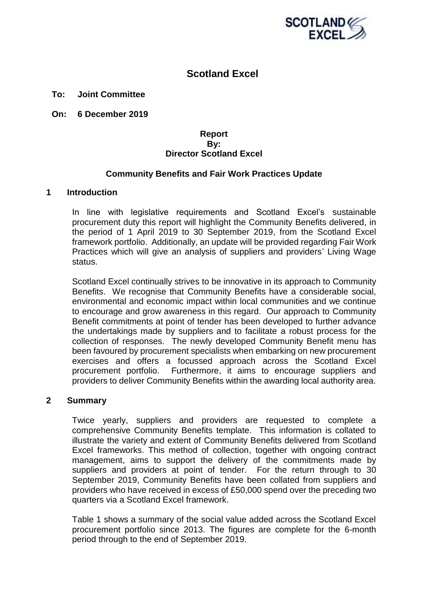

# **Scotland Excel**

### **To: Joint Committee**

**On: 6 December 2019**

### **Report By: Director Scotland Excel**

### **Community Benefits and Fair Work Practices Update**

#### **1 Introduction**

In line with legislative requirements and Scotland Excel's sustainable procurement duty this report will highlight the Community Benefits delivered, in the period of 1 April 2019 to 30 September 2019, from the Scotland Excel framework portfolio. Additionally, an update will be provided regarding Fair Work Practices which will give an analysis of suppliers and providers' Living Wage status.

Scotland Excel continually strives to be innovative in its approach to Community Benefits. We recognise that Community Benefits have a considerable social, environmental and economic impact within local communities and we continue to encourage and grow awareness in this regard. Our approach to Community Benefit commitments at point of tender has been developed to further advance the undertakings made by suppliers and to facilitate a robust process for the collection of responses. The newly developed Community Benefit menu has been favoured by procurement specialists when embarking on new procurement exercises and offers a focussed approach across the Scotland Excel procurement portfolio. Furthermore, it aims to encourage suppliers and providers to deliver Community Benefits within the awarding local authority area.

#### **2 Summary**

Twice yearly, suppliers and providers are requested to complete a comprehensive Community Benefits template. This information is collated to illustrate the variety and extent of Community Benefits delivered from Scotland Excel frameworks. This method of collection, together with ongoing contract management, aims to support the delivery of the commitments made by suppliers and providers at point of tender. For the return through to 30 September 2019, Community Benefits have been collated from suppliers and providers who have received in excess of £50,000 spend over the preceding two quarters via a Scotland Excel framework.

Table 1 shows a summary of the social value added across the Scotland Excel procurement portfolio since 2013. The figures are complete for the 6-month period through to the end of September 2019.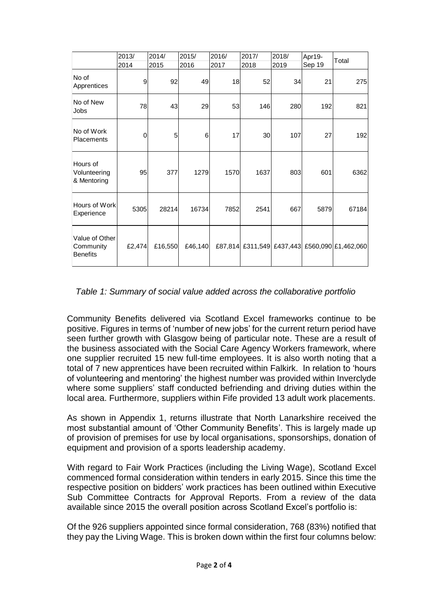|                                         | 2013/  | 2014/   | 2015/   | 2016/ | 2017/ | 2018/ | Apr19- | Total                                         |
|-----------------------------------------|--------|---------|---------|-------|-------|-------|--------|-----------------------------------------------|
|                                         | 2014   | 2015    | 2016    | 2017  | 2018  | 2019  | Sep 19 |                                               |
| No of<br>Apprentices                    | 9      | 92      | 49      | 18    | 52    | 34    | 21     | 275                                           |
| No of New<br>Jobs                       | 78     | 43      | 29      | 53    | 146   | 280   | 192    | 821                                           |
| No of Work<br>Placements                | 0      | 5       | 6       | 17    | 30    | 107   | 27     | 192                                           |
| Hours of<br>Volunteering<br>& Mentoring | 95     | 377     | 1279    | 1570  | 1637  | 803   | 601    | 6362                                          |
| Hours of Work<br>Experience             | 5305   | 28214   | 16734   | 7852  | 2541  | 667   | 5879   | 67184                                         |
| Value of Other<br>Community<br>Benefits | £2,474 | £16,550 | £46,140 |       |       |       |        | £87,814 £311,549 £437,443 £560,090 £1,462,060 |

# *Table 1: Summary of social value added across the collaborative portfolio*

Community Benefits delivered via Scotland Excel frameworks continue to be positive. Figures in terms of 'number of new jobs' for the current return period have seen further growth with Glasgow being of particular note. These are a result of the business associated with the Social Care Agency Workers framework, where one supplier recruited 15 new full-time employees. It is also worth noting that a total of 7 new apprentices have been recruited within Falkirk. In relation to 'hours of volunteering and mentoring' the highest number was provided within Inverclyde where some suppliers' staff conducted befriending and driving duties within the local area. Furthermore, suppliers within Fife provided 13 adult work placements.

As shown in Appendix 1, returns illustrate that North Lanarkshire received the most substantial amount of 'Other Community Benefits'. This is largely made up of provision of premises for use by local organisations, sponsorships, donation of equipment and provision of a sports leadership academy.

With regard to Fair Work Practices (including the Living Wage), Scotland Excel commenced formal consideration within tenders in early 2015. Since this time the respective position on bidders' work practices has been outlined within Executive Sub Committee Contracts for Approval Reports. From a review of the data available since 2015 the overall position across Scotland Excel's portfolio is:

Of the 926 suppliers appointed since formal consideration, 768 (83%) notified that they pay the Living Wage. This is broken down within the first four columns below: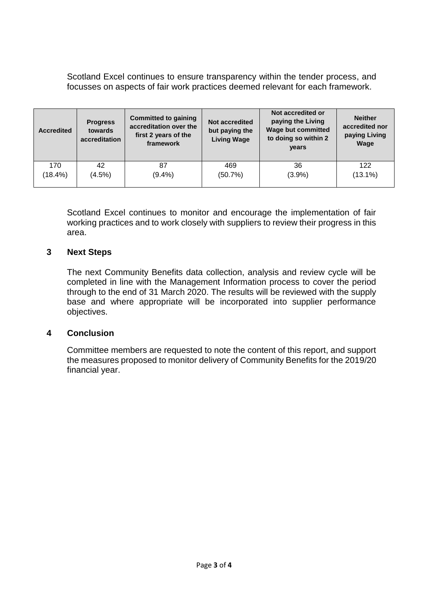Scotland Excel continues to ensure transparency within the tender process, and focusses on aspects of fair work practices deemed relevant for each framework.

| <b>Accredited</b> | <b>Progress</b><br>towards<br>accreditation | <b>Committed to gaining</b><br>accreditation over the<br>first 2 years of the<br>framework | Not accredited<br>but paying the<br><b>Living Wage</b> | Not accredited or<br>paying the Living<br><b>Wage but committed</b><br>to doing so within 2<br>years | <b>Neither</b><br>accredited nor<br>paying Living<br>Wage |
|-------------------|---------------------------------------------|--------------------------------------------------------------------------------------------|--------------------------------------------------------|------------------------------------------------------------------------------------------------------|-----------------------------------------------------------|
| 170               | 42                                          | 87                                                                                         | 469                                                    | 36                                                                                                   | 122                                                       |
| $(18.4\%)$        | (4.5%)                                      | $(9.4\%)$                                                                                  | (50.7%)                                                | (3.9%)                                                                                               | $(13.1\%)$                                                |

Scotland Excel continues to monitor and encourage the implementation of fair working practices and to work closely with suppliers to review their progress in this area.

## **3 Next Steps**

The next Community Benefits data collection, analysis and review cycle will be completed in line with the Management Information process to cover the period through to the end of 31 March 2020. The results will be reviewed with the supply base and where appropriate will be incorporated into supplier performance objectives.

## **4 Conclusion**

Committee members are requested to note the content of this report, and support the measures proposed to monitor delivery of Community Benefits for the 2019/20 financial year.